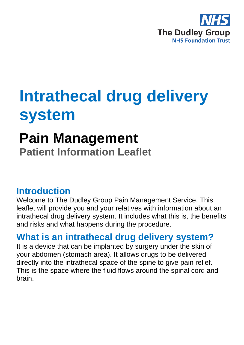

## **Intrathecal drug delivery system**

# **Pain Management**

**Patient Information Leaflet**

#### **Introduction**

Welcome to The Dudley Group Pain Management Service. This leaflet will provide you and your relatives with information about an intrathecal drug delivery system. It includes what this is, the benefits and risks and what happens during the procedure.

### **What is an intrathecal drug delivery system?**

It is a device that can be implanted by surgery under the skin of your abdomen (stomach area). It allows drugs to be delivered directly into the intrathecal space of the spine to give pain relief. This is the space where the fluid flows around the spinal cord and brain.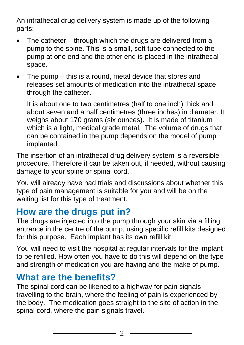An intrathecal drug delivery system is made up of the following parts:

- The catheter through which the drugs are delivered from a pump to the spine. This is a small, soft tube connected to the pump at one end and the other end is placed in the intrathecal space.
- The pump  $-$  this is a round, metal device that stores and releases set amounts of medication into the intrathecal space through the catheter.

It is about one to two centimetres (half to one inch) thick and about seven and a half centimetres (three inches) in diameter. It weighs about 170 grams (six ounces). It is made of titanium which is a light, medical grade metal. The volume of drugs that can be contained in the pump depends on the model of pump implanted.

The insertion of an intrathecal drug delivery system is a reversible procedure. Therefore it can be taken out, if needed, without causing damage to your spine or spinal cord.

You will already have had trials and discussions about whether this type of pain management is suitable for you and will be on the waiting list for this type of treatment.

### **How are the drugs put in?**

The drugs are injected into the pump through your skin via a filling entrance in the centre of the pump, using specific refill kits designed for this purpose. Each implant has its own refill kit.

You will need to visit the hospital at regular intervals for the implant to be refilled. How often you have to do this will depend on the type and strength of medication you are having and the make of pump.

#### **What are the benefits?**

The spinal cord can be likened to a highway for pain signals travelling to the brain, where the feeling of pain is experienced by the body. The medication goes straight to the site of action in the spinal cord, where the pain signals travel.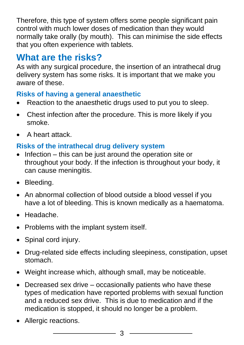Therefore, this type of system offers some people significant pain control with much lower doses of medication than they would normally take orally (by mouth). This can minimise the side effects that you often experience with tablets.

## **What are the risks?**

As with any surgical procedure, the insertion of an intrathecal drug delivery system has some risks. It is important that we make you aware of these.

#### **Risks of having a general anaesthetic**

- Reaction to the anaesthetic drugs used to put you to sleep.
- Chest infection after the procedure. This is more likely if you smoke.
- A heart attack.

#### **Risks of the intrathecal drug delivery system**

- Infection this can be just around the operation site or throughout your body. If the infection is throughout your body, it can cause meningitis.
- Bleeding.
- An abnormal collection of blood outside a blood vessel if you have a lot of bleeding. This is known medically as a haematoma.
- Headache.
- Problems with the implant system itself.
- Spinal cord injury.
- Drug-related side effects including sleepiness, constipation, upset stomach.
- Weight increase which, although small, may be noticeable.
- Decreased sex drive occasionally patients who have these types of medication have reported problems with sexual function and a reduced sex drive. This is due to medication and if the medication is stopped, it should no longer be a problem.
- Allergic reactions.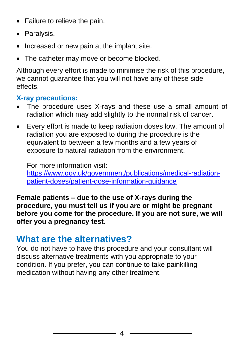- Failure to relieve the pain.
- Paralysis.
- Increased or new pain at the implant site.
- The catheter may move or become blocked.

Although every effort is made to minimise the risk of this procedure, we cannot guarantee that you will not have any of these side effects.

#### **X-ray precautions:**

- The procedure uses X-rays and these use a small amount of radiation which may add slightly to the normal risk of cancer.
- Every effort is made to keep radiation doses low. The amount of radiation you are exposed to during the procedure is the equivalent to between a few months and a few years of exposure to natural radiation from the environment.

For more information visit: [https://www.gov.uk/government/publications/medical-radiation](https://www.gov.uk/government/publications/medical-radiation-patient-doses/patient-dose-information-guidance)[patient-doses/patient-dose-information-guidance](https://www.gov.uk/government/publications/medical-radiation-patient-doses/patient-dose-information-guidance)

**Female patients – due to the use of X-rays during the procedure, you must tell us if you are or might be pregnant before you come for the procedure. If you are not sure, we will offer you a pregnancy test.**

## **What are the alternatives?**

You do not have to have this procedure and your consultant will discuss alternative treatments with you appropriate to your condition. If you prefer, you can continue to take painkilling medication without having any other treatment.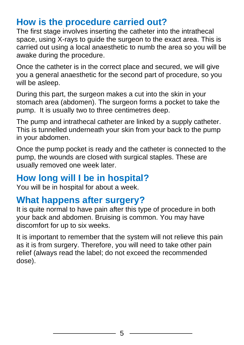#### **How is the procedure carried out?**

The first stage involves inserting the catheter into the intrathecal space, using X-rays to guide the surgeon to the exact area. This is carried out using a local anaesthetic to numb the area so you will be awake during the procedure.

Once the catheter is in the correct place and secured, we will give you a general anaesthetic for the second part of procedure, so you will be asleep.

During this part, the surgeon makes a cut into the skin in your stomach area (abdomen). The surgeon forms a pocket to take the pump. It is usually two to three centimetres deep.

The pump and intrathecal catheter are linked by a supply catheter. This is tunnelled underneath your skin from your back to the pump in your abdomen.

Once the pump pocket is ready and the catheter is connected to the pump, the wounds are closed with surgical staples. These are usually removed one week later.

#### **How long will I be in hospital?**

You will be in hospital for about a week.

## **What happens after surgery?**

It is quite normal to have pain after this type of procedure in both your back and abdomen. Bruising is common. You may have discomfort for up to six weeks.

It is important to remember that the system will not relieve this pain as it is from surgery. Therefore, you will need to take other pain relief (always read the label; do not exceed the recommended dose).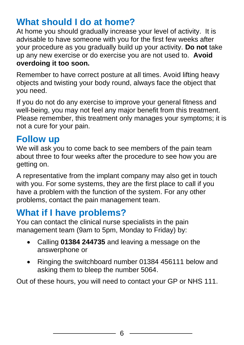### **What should I do at home?**

At home you should gradually increase your level of activity. It is advisable to have someone with you for the first few weeks after your procedure as you gradually build up your activity. **Do not** take up any new exercise or do exercise you are not used to. **Avoid overdoing it too soon.**

Remember to have correct posture at all times. Avoid lifting heavy objects and twisting your body round, always face the object that you need.

If you do not do any exercise to improve your general fitness and well-being, you may not feel any major benefit from this treatment. Please remember, this treatment only manages your symptoms; it is not a cure for your pain.

#### **Follow up**

We will ask you to come back to see members of the pain team about three to four weeks after the procedure to see how you are getting on.

A representative from the implant company may also get in touch with you. For some systems, they are the first place to call if you have a problem with the function of the system. For any other problems, contact the pain management team.

### **What if I have problems?**

You can contact the clinical nurse specialists in the pain management team (9am to 5pm, Monday to Friday) by:

- Calling **01384 244735** and leaving a message on the answerphone or
- Ringing the switchboard number 01384 456111 below and asking them to bleep the number 5064.

Out of these hours, you will need to contact your GP or NHS 111.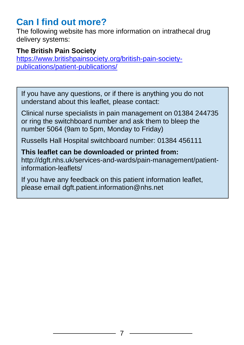### **Can I find out more?**

The following website has more information on intrathecal drug delivery systems:

#### **The British Pain Society**

[https://www.britishpainsociety.org/british-pain-society](https://www.britishpainsociety.org/british-pain-society-publications/patient-publications/)[publications/patient-publications/](https://www.britishpainsociety.org/british-pain-society-publications/patient-publications/)

If you have any questions, or if there is anything you do not understand about this leaflet, please contact:

Clinical nurse specialists in pain management on 01384 244735 or ring the switchboard number and ask them to bleep the number 5064 (9am to 5pm, Monday to Friday)

Russells Hall Hospital switchboard number: 01384 456111

**This leaflet can be downloaded or printed from:** http://dgft.nhs.uk/services-and-wards/pain-management/patientinformation-leaflets/

If you have any feedback on this patient information leaflet, please email dgft.patient.information@nhs.net